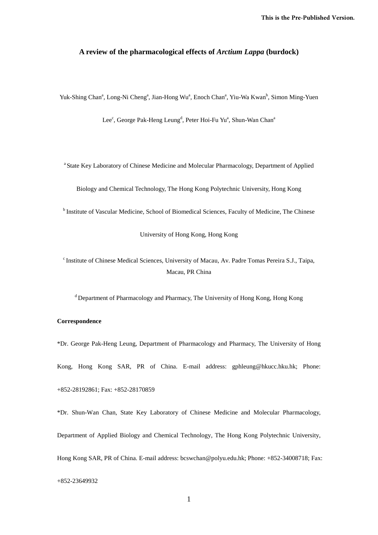#### **A review of the pharmacological effects of** *Arctium Lappa* **(burdock)**

Yuk-Shing Chan<sup>a</sup>, Long-Ni Cheng<sup>a</sup>, Jian-Hong Wu<sup>a</sup>, Enoch Chan<sup>a</sup>, Yiu-Wa Kwan<sup>b</sup>, Simon Ming-Yuen

Lee<sup>c</sup>, George Pak-Heng Leung<sup>d</sup>, Peter Hoi-Fu Yu<sup>a</sup>, Shun-Wan Chan<sup>a</sup>

a State Key Laboratory of Chinese Medicine and Molecular Pharmacology, Department of Applied

Biology and Chemical Technology, The Hong Kong Polytechnic University, Hong Kong

<sup>b</sup> Institute of Vascular Medicine, School of Biomedical Sciences, Faculty of Medicine, The Chinese

University of Hong Kong, Hong Kong

c Institute of Chinese Medical Sciences, University of Macau, Av. Padre Tomas Pereira S.J., Taipa, Macau, PR China

d Department of Pharmacology and Pharmacy, The University of Hong Kong, Hong Kong

#### **Correspondence**

\*Dr. George Pak-Heng Leung, Department of Pharmacology and Pharmacy, The University of Hong Kong, Hong Kong SAR, PR of China. E-mail address: gphleung@hkucc.hku.hk; Phone: +852-28192861; Fax: +852-28170859

\*Dr. Shun-Wan Chan, State Key Laboratory of Chinese Medicine and Molecular Pharmacology,

Department of Applied Biology and Chemical Technology, The Hong Kong Polytechnic University,

Hong Kong SAR, PR of China. E-mail address: bcswchan@polyu.edu.hk; Phone: +852-34008718; Fax:

+852-23649932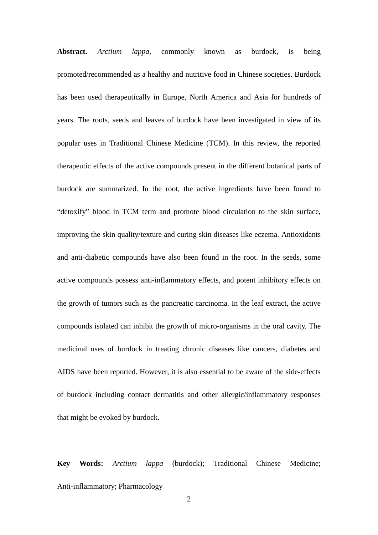**Abstract.** *Arctium lappa*, commonly known as burdock, is being promoted/recommended as a healthy and nutritive food in Chinese societies. Burdock has been used therapeutically in Europe, North America and Asia for hundreds of years. The roots, seeds and leaves of burdock have been investigated in view of its popular uses in Traditional Chinese Medicine (TCM). In this review, the reported therapeutic effects of the active compounds present in the different botanical parts of burdock are summarized. In the root, the active ingredients have been found to "detoxify" blood in TCM term and promote blood circulation to the skin surface, improving the skin quality/texture and curing skin diseases like eczema. Antioxidants and anti-diabetic compounds have also been found in the root. In the seeds, some active compounds possess anti-inflammatory effects, and potent inhibitory effects on the growth of tumors such as the pancreatic carcinoma. In the leaf extract, the active compounds isolated can inhibit the growth of micro-organisms in the oral cavity. The medicinal uses of burdock in treating chronic diseases like cancers, diabetes and AIDS have been reported. However, it is also essential to be aware of the side-effects of burdock including contact dermatitis and other allergic/inflammatory responses that might be evoked by burdock.

**Key Words:** *Arctium lappa* (burdock); Traditional Chinese Medicine; Anti-inflammatory; Pharmacology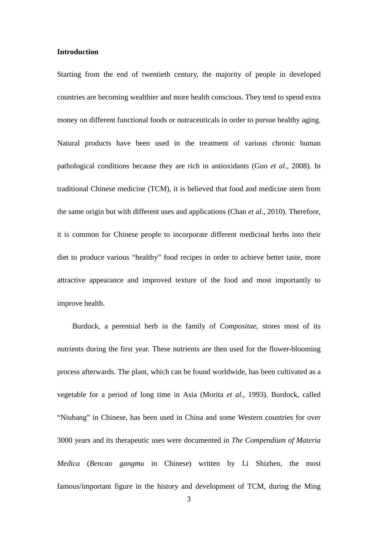#### **Introduction**

Starting from the end of twentieth century, the majority of people in developed countries are becoming wealthier and more health conscious. They tend to spend extra money on different functional foods or nutraceuticals in order to pursue healthy aging. Natural products have been used in the treatment of various chronic human pathological conditions because they are rich in antioxidants (Guo *et al.*, 2008). In traditional Chinese medicine (TCM), it is believed that food and medicine stem from the same origin but with different uses and applications (Chan *et al.*, 2010). Therefore, it is common for Chinese people to incorporate different medicinal herbs into their diet to produce various "healthy" food recipes in order to achieve better taste, more attractive appearance and improved texture of the food and most importantly to improve health.

Burdock, a perennial herb in the family of *Compositae*, stores most of its nutrients during the first year. These nutrients are then used for the flower-blooming process afterwards. The plant, which can be found worldwide, has been cultivated as a vegetable for a period of long time in Asia (Morita *et al.*, 1993). Burdock, called "Niubang" in Chinese, has been used in China and some Western countries for over 3000 years and its therapeutic uses were documented in *The Compendium of Materia Medica* (*Bencao gangmu* in Chinese) written by Li Shizhen, the most famous/important figure in the history and development of TCM, during the Ming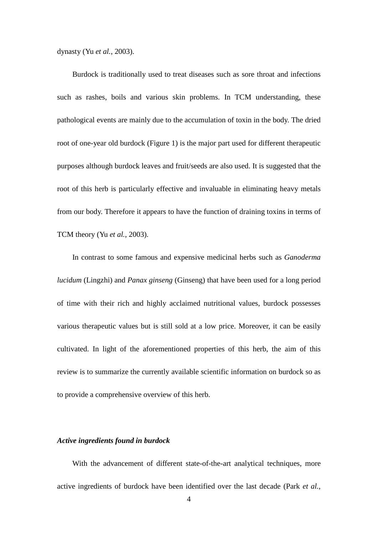dynasty (Yu *et al.*, 2003).

Burdock is traditionally used to treat diseases such as sore throat and infections such as rashes, boils and various skin problems. In TCM understanding, these pathological events are mainly due to the accumulation of toxin in the body. The dried root of one-year old burdock (Figure 1) is the major part used for different therapeutic purposes although burdock leaves and fruit/seeds are also used. It is suggested that the root of this herb is particularly effective and invaluable in eliminating heavy metals from our body. Therefore it appears to have the function of draining toxins in terms of TCM theory (Yu *et al.*, 2003).

In contrast to some famous and expensive medicinal herbs such as *Ganoderma lucidum* (Lingzhi) and *Panax ginseng* (Ginseng) that have been used for a long period of time with their rich and highly acclaimed nutritional values, burdock possesses various therapeutic values but is still sold at a low price. Moreover, it can be easily cultivated. In light of the aforementioned properties of this herb, the aim of this review is to summarize the currently available scientific information on burdock so as to provide a comprehensive overview of this herb.

#### *Active ingredients found in burdock*

With the advancement of different state-of-the-art analytical techniques, more active ingredients of burdock have been identified over the last decade (Park *et al.*,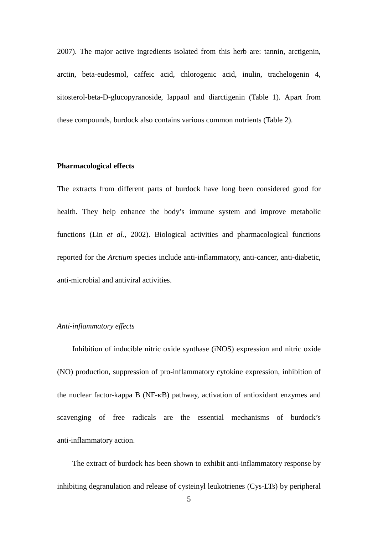2007). The major active ingredients isolated from this herb are: tannin, arctigenin, arctin, beta-eudesmol, caffeic acid, chlorogenic acid, inulin, trachelogenin 4, sitosterol-beta-D-glucopyranoside, lappaol and diarctigenin (Table 1). Apart from these compounds, burdock also contains various common nutrients (Table 2).

#### **Pharmacological effects**

The extracts from different parts of burdock have long been considered good for health. They help enhance the body's immune system and improve metabolic functions (Lin *et al.*, 2002). Biological activities and pharmacological functions reported for the *Arctium* species include anti-inflammatory, anti-cancer, anti-diabetic, anti-microbial and antiviral activities.

### *Anti-inflammatory effects*

Inhibition of inducible nitric oxide synthase (iNOS) expression and nitric oxide (NO) production, suppression of pro-inflammatory cytokine expression, inhibition of the nuclear factor-kappa B (NF-κB) pathway, activation of antioxidant enzymes and scavenging of free radicals are the essential mechanisms of burdock's anti-inflammatory action.

The extract of burdock has been shown to exhibit anti-inflammatory response by inhibiting degranulation and release of cysteinyl leukotrienes (Cys-LTs) by peripheral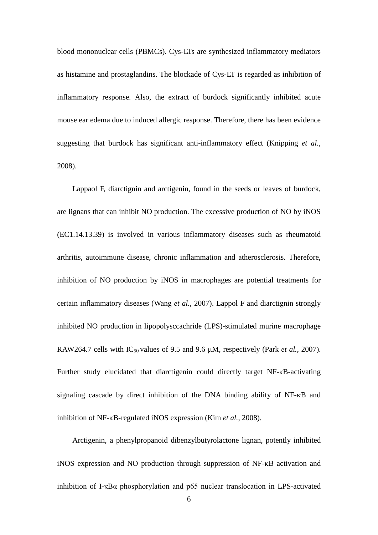blood mononuclear cells (PBMCs). Cys-LTs are synthesized inflammatory mediators as histamine and prostaglandins. The blockade of Cys-LT is regarded as inhibition of inflammatory response. Also, the extract of burdock significantly inhibited acute mouse ear edema due to induced allergic response. Therefore, there has been evidence suggesting that burdock has significant anti-inflammatory effect (Knipping *et al.*, 2008).

Lappaol F, diarctignin and arctigenin, found in the seeds or leaves of burdock, are lignans that can inhibit NO production. The excessive production of NO by iNOS (EC1.14.13.39) is involved in various inflammatory diseases such as rheumatoid arthritis, autoimmune disease, chronic inflammation and atherosclerosis. Therefore, inhibition of NO production by iNOS in macrophages are potential treatments for certain inflammatory diseases (Wang *et al.*, 2007). Lappol F and diarctignin strongly inhibited NO production in lipopolysccachride (LPS)-stimulated murine macrophage RAW264.7 cells with  $IC_{50}$  values of 9.5 and 9.6  $\mu$ M, respectively (Park *et al.*, 2007). Further study elucidated that diarctigenin could directly target NF-κB-activating signaling cascade by direct inhibition of the DNA binding ability of NF-κB and inhibition of NF-κB-regulated iNOS expression (Kim *et al.*, 2008).

Arctigenin, a phenylpropanoid dibenzylbutyrolactone lignan, potently inhibited iNOS expression and NO production through suppression of NF-κB activation and inhibition of I-κBα phosphorylation and p65 nuclear translocation in LPS-activated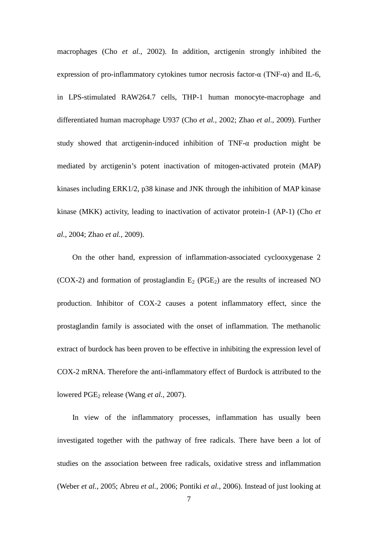macrophages (Cho *et al.*, 2002). In addition, arctigenin strongly inhibited the expression of pro-inflammatory cytokines tumor necrosis factor- $\alpha$  (TNF- $\alpha$ ) and IL-6, in LPS-stimulated RAW264.7 cells, THP-1 human monocyte-macrophage and differentiated human macrophage U937 (Cho *et al.*, 2002; Zhao *et al.*, 2009). Further study showed that arctigenin-induced inhibition of TNF-α production might be mediated by arctigenin's potent inactivation of mitogen-activated protein (MAP) kinases including ERK1/2, p38 kinase and JNK through the inhibition of MAP kinase kinase (MKK) activity, leading to inactivation of activator protein-1 (AP-1) (Cho *et al.*, 2004; Zhao *et al.*, 2009).

On the other hand, expression of inflammation-associated cyclooxygenase 2 (COX-2) and formation of prostaglandin  $E_2$  (PGE<sub>2</sub>) are the results of increased NO production. Inhibitor of COX-2 causes a potent inflammatory effect, since the prostaglandin family is associated with the onset of inflammation. The methanolic extract of burdock has been proven to be effective in inhibiting the expression level of COX-2 mRNA. Therefore the anti-inflammatory effect of Burdock is attributed to the lowered PGE<sub>2</sub> release (Wang *et al.*, 2007).

In view of the inflammatory processes, inflammation has usually been investigated together with the pathway of free radicals. There have been a lot of studies on the association between free radicals, oxidative stress and inflammation (Weber *et al.*, 2005; Abreu *et al.*, 2006; Pontiki *et al.*, 2006). Instead of just looking at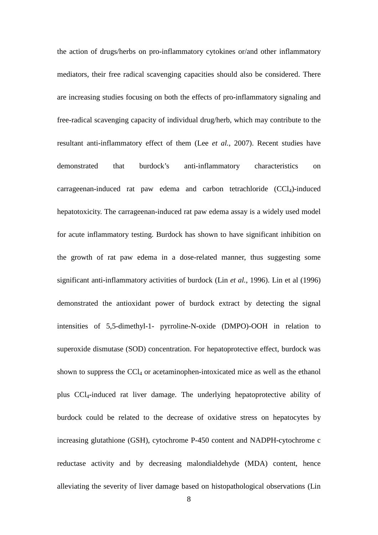the action of drugs/herbs on pro-inflammatory cytokines or/and other inflammatory mediators, their free radical scavenging capacities should also be considered. There are increasing studies focusing on both the effects of pro-inflammatory signaling and free-radical scavenging capacity of individual drug/herb, which may contribute to the resultant anti-inflammatory effect of them (Lee *et al.*, 2007). Recent studies have demonstrated that burdock's anti-inflammatory characteristics on carrageenan-induced rat paw edema and carbon tetrachloride  $(CCl<sub>4</sub>)$ -induced hepatotoxicity. The carrageenan-induced rat paw edema assay is a widely used model for acute inflammatory testing. Burdock has shown to have significant inhibition on the growth of rat paw edema in a dose-related manner, thus suggesting some significant anti-inflammatory activities of burdock (Lin *et al.*, 1996). Lin et al (1996) demonstrated the antioxidant power of burdock extract by detecting the signal intensities of 5,5-dimethyl-1- pyrroline-N-oxide (DMPO)-OOH in relation to superoxide dismutase (SOD) concentration. For hepatoprotective effect, burdock was shown to suppress the  $\text{CCI}_4$  or acetaminophen-intoxicated mice as well as the ethanol plus CCl4-induced rat liver damage. The underlying hepatoprotective ability of burdock could be related to the decrease of oxidative stress on hepatocytes by increasing glutathione (GSH), cytochrome P-450 content and NADPH-cytochrome c reductase activity and by decreasing malondialdehyde (MDA) content, hence alleviating the severity of liver damage based on histopathological observations (Lin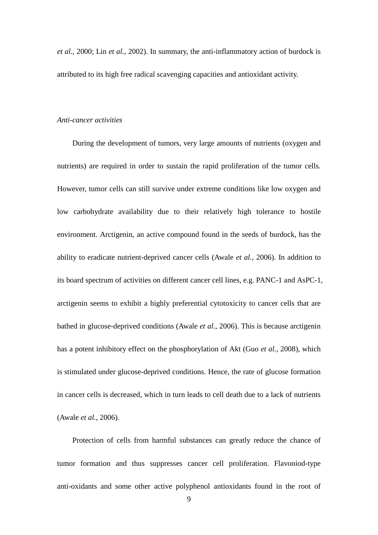*et al.*, 2000; Lin *et al.*, 2002). In summary, the anti-inflammatory action of burdock is attributed to its high free radical scavenging capacities and antioxidant activity.

#### *Anti-cancer activities*

During the development of tumors, very large amounts of nutrients (oxygen and nutrients) are required in order to sustain the rapid proliferation of the tumor cells. However, tumor cells can still survive under extreme conditions like low oxygen and low carbohydrate availability due to their relatively high tolerance to hostile environment. Arctigenin, an active compound found in the seeds of burdock, has the ability to eradicate nutrient-deprived cancer cells (Awale *et al.*, 2006). In addition to its board spectrum of activities on different cancer cell lines, e.g. PANC-1 and AsPC-1, arctigenin seems to exhibit a highly preferential cytotoxicity to cancer cells that are bathed in glucose-deprived conditions (Awale *et al.*, 2006). This is because arctigenin has a potent inhibitory effect on the phosphorylation of Akt (Guo *et al.*, 2008), which is stimulated under glucose-deprived conditions. Hence, the rate of glucose formation in cancer cells is decreased, which in turn leads to cell death due to a lack of nutrients (Awale *et al.*, 2006).

Protection of cells from harmful substances can greatly reduce the chance of tumor formation and thus suppresses cancer cell proliferation. Flavoniod-type anti-oxidants and some other active polyphenol antioxidants found in the root of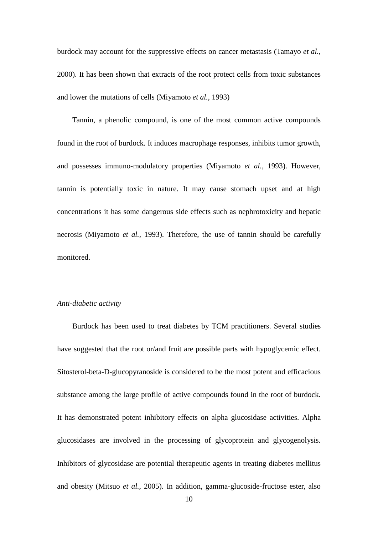burdock may account for the suppressive effects on cancer metastasis (Tamayo *et al.*, 2000). It has been shown that extracts of the root protect cells from toxic substances and lower the mutations of cells (Miyamoto *et al.*, 1993)

Tannin, a phenolic compound, is one of the most common active compounds found in the root of burdock. It induces macrophage responses, inhibits tumor growth, and possesses immuno-modulatory properties (Miyamoto *et al.*, 1993). However, tannin is potentially toxic in nature. It may cause stomach upset and at high concentrations it has some dangerous side effects such as nephrotoxicity and hepatic necrosis (Miyamoto *et al.*, 1993). Therefore, the use of tannin should be carefully monitored.

#### *Anti-diabetic activity*

Burdock has been used to treat diabetes by TCM practitioners. Several studies have suggested that the root or/and fruit are possible parts with hypoglycemic effect. Sitosterol-beta-D-glucopyranoside is considered to be the most potent and efficacious substance among the large profile of active compounds found in the root of burdock. It has demonstrated potent inhibitory effects on alpha glucosidase activities. Alpha glucosidases are involved in the processing of glycoprotein and glycogenolysis. Inhibitors of glycosidase are potential therapeutic agents in treating diabetes mellitus and obesity (Mitsuo *et al.*, 2005). In addition, gamma-glucoside-fructose ester, also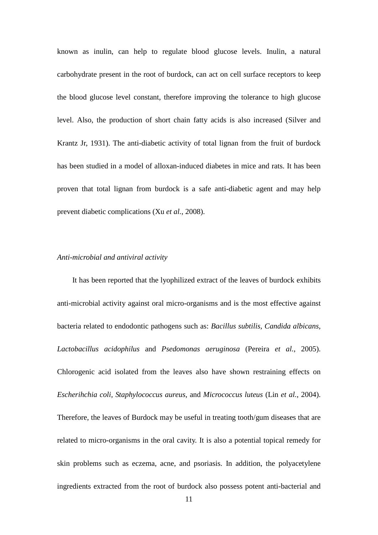known as inulin, can help to regulate blood glucose levels. Inulin, a natural carbohydrate present in the root of burdock, can act on cell surface receptors to keep the blood glucose level constant, therefore improving the tolerance to high glucose level. Also, the production of short chain fatty acids is also increased (Silver and Krantz Jr, 1931). The anti-diabetic activity of total lignan from the fruit of burdock has been studied in a model of alloxan-induced diabetes in mice and rats. It has been proven that total lignan from burdock is a safe anti-diabetic agent and may help prevent diabetic complications (Xu *et al.*, 2008).

#### *Anti-microbial and antiviral activity*

It has been reported that the lyophilized extract of the leaves of burdock exhibits anti-microbial activity against oral micro-organisms and is the most effective against bacteria related to endodontic pathogens such as: *Bacillus subtilis, Candida albicans, Lactobacillus acidophilus* and *Psedomonas aeruginosa* (Pereira *et al.*, 2005). Chlorogenic acid isolated from the leaves also have shown restraining effects on *Escherihchia coli, Staphylococcus aureus*, and *Micrococcus luteus* (Lin *et al.*, 2004). Therefore, the leaves of Burdock may be useful in treating tooth/gum diseases that are related to micro-organisms in the oral cavity. It is also a potential topical remedy for skin problems such as eczema, acne, and psoriasis. In addition, the polyacetylene ingredients extracted from the root of burdock also possess potent anti-bacterial and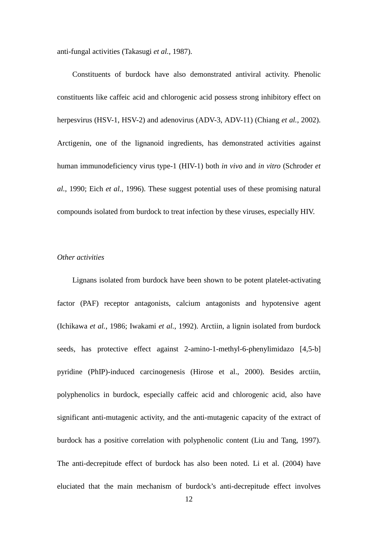anti-fungal activities (Takasugi *et al.*, 1987).

Constituents of burdock have also demonstrated antiviral activity. Phenolic constituents like caffeic acid and chlorogenic acid possess strong inhibitory effect on herpesvirus (HSV-1, HSV-2) and adenovirus (ADV-3, ADV-11) (Chiang *et al.*, 2002). Arctigenin, one of the lignanoid ingredients, has demonstrated activities against human immunodeficiency virus type-1 (HIV-1) both *in vivo* and *in vitro* (Schroder *et al.*, 1990; Eich *et al.*, 1996). These suggest potential uses of these promising natural compounds isolated from burdock to treat infection by these viruses, especially HIV.

#### *Other activities*

Lignans isolated from burdock have been shown to be potent platelet-activating factor (PAF) receptor antagonists, calcium antagonists and hypotensive agent (Ichikawa *et al.*, 1986; Iwakami *et al.*, 1992). Arctiin, a lignin isolated from burdock seeds, has protective effect against 2-amino-1-methyl-6-phenylimidazo [4,5-b] pyridine (PhIP)-induced carcinogenesis (Hirose et al., 2000). Besides arctiin, polyphenolics in burdock, especially caffeic acid and chlorogenic acid, also have significant anti-mutagenic activity, and the anti-mutagenic capacity of the extract of burdock has a positive correlation with polyphenolic content (Liu and Tang, 1997). The anti-decrepitude effect of burdock has also been noted. Li et al. (2004) have eluciated that the main mechanism of burdock's anti-decrepitude effect involves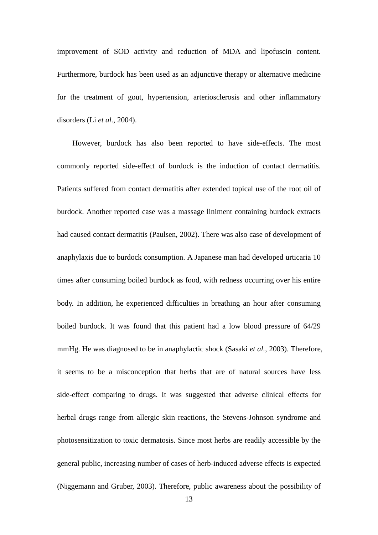improvement of SOD activity and reduction of MDA and lipofuscin content. Furthermore, burdock has been used as an adjunctive therapy or alternative medicine for the treatment of gout, hypertension, arteriosclerosis and other inflammatory disorders (Li *et al.*, 2004).

However, burdock has also been reported to have side-effects. The most commonly reported side-effect of burdock is the induction of contact dermatitis. Patients suffered from contact dermatitis after extended topical use of the root oil of burdock. Another reported case was a massage liniment containing burdock extracts had caused contact dermatitis (Paulsen, 2002). There was also case of development of anaphylaxis due to burdock consumption. A Japanese man had developed urticaria 10 times after consuming boiled burdock as food, with redness occurring over his entire body. In addition, he experienced difficulties in breathing an hour after consuming boiled burdock. It was found that this patient had a low blood pressure of 64/29 mmHg. He was diagnosed to be in anaphylactic shock (Sasaki *et al.*, 2003). Therefore, it seems to be a misconception that herbs that are of natural sources have less side-effect comparing to drugs. It was suggested that adverse clinical effects for herbal drugs range from allergic skin reactions, the Stevens-Johnson syndrome and photosensitization to toxic dermatosis. Since most herbs are readily accessible by the general public, increasing number of cases of herb-induced adverse effects is expected (Niggemann and Gruber, 2003). Therefore, public awareness about the possibility of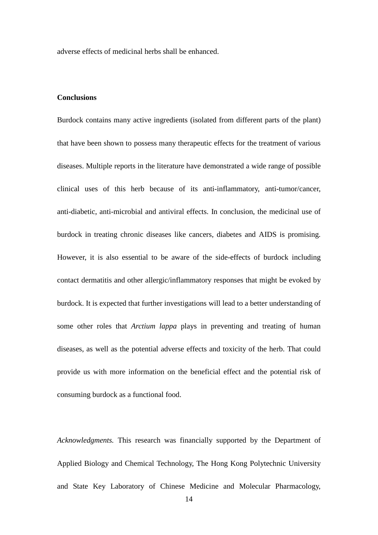adverse effects of medicinal herbs shall be enhanced.

### **Conclusions**

Burdock contains many active ingredients (isolated from different parts of the plant) that have been shown to possess many therapeutic effects for the treatment of various diseases. Multiple reports in the literature have demonstrated a wide range of possible clinical uses of this herb because of its anti-inflammatory, anti-tumor/cancer, anti-diabetic, anti-microbial and antiviral effects. In conclusion, the medicinal use of burdock in treating chronic diseases like cancers, diabetes and AIDS is promising. However, it is also essential to be aware of the side-effects of burdock including contact dermatitis and other allergic/inflammatory responses that might be evoked by burdock. It is expected that further investigations will lead to a better understanding of some other roles that *Arctium lappa* plays in preventing and treating of human diseases, as well as the potential adverse effects and toxicity of the herb. That could provide us with more information on the beneficial effect and the potential risk of consuming burdock as a functional food.

*Acknowledgments.* This research was financially supported by the Department of Applied Biology and Chemical Technology, The Hong Kong Polytechnic University and State Key Laboratory of Chinese Medicine and Molecular Pharmacology,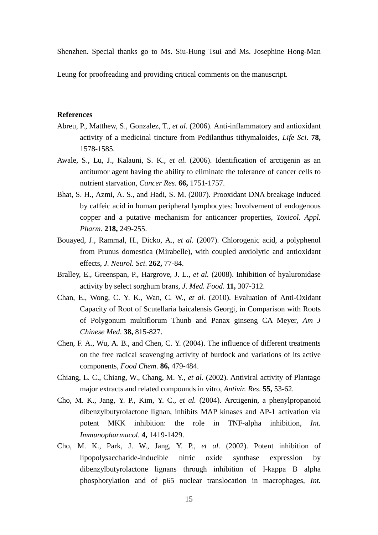Shenzhen. Special thanks go to Ms. Siu-Hung Tsui and Ms. Josephine Hong-Man

Leung for proofreading and providing critical comments on the manuscript.

## **References**

- Abreu, P., Matthew, S., Gonzalez, T.*, et al.* (2006). Anti-inflammatory and antioxidant activity of a medicinal tincture from Pedilanthus tithymaloides, *Life Sci*. **78,** 1578-1585.
- Awale, S., Lu, J., Kalauni, S. K.*, et al.* (2006). Identification of arctigenin as an antitumor agent having the ability to eliminate the tolerance of cancer cells to nutrient starvation, *Cancer Res*. **66,** 1751-1757.
- Bhat, S. H., Azmi, A. S., and Hadi, S. M. (2007). Prooxidant DNA breakage induced by caffeic acid in human peripheral lymphocytes: Involvement of endogenous copper and a putative mechanism for anticancer properties, *Toxicol. Appl. Pharm*. **218,** 249-255.
- Bouayed, J., Rammal, H., Dicko, A.*, et al.* (2007). Chlorogenic acid, a polyphenol from Prunus domestica (Mirabelle), with coupled anxiolytic and antioxidant effects, *J. Neurol. Sci*. **262,** 77-84.
- Bralley, E., Greenspan, P., Hargrove, J. L.*, et al.* (2008). Inhibition of hyaluronidase activity by select sorghum brans, *J. Med. Food*. **11,** 307-312.
- Chan, E., Wong, C. Y. K., Wan, C. W.*, et al.* (2010). Evaluation of Anti-Oxidant Capacity of Root of Scutellaria baicalensis Georgi, in Comparison with Roots of Polygonum multiflorum Thunb and Panax ginseng CA Meyer, *Am J Chinese Med*. **38,** 815-827.
- Chen, F. A., Wu, A. B., and Chen, C. Y. (2004). The influence of different treatments on the free radical scavenging activity of burdock and variations of its active components, *Food Chem*. **86,** 479-484.
- Chiang, L. C., Chiang, W., Chang, M. Y.*, et al.* (2002). Antiviral activity of Plantago major extracts and related compounds in vitro, *Antivir. Res*. **55,** 53-62.
- Cho, M. K., Jang, Y. P., Kim, Y. C.*, et al.* (2004). Arctigenin, a phenylpropanoid dibenzylbutyrolactone lignan, inhibits MAP kinases and AP-1 activation via potent MKK inhibition: the role in TNF-alpha inhibition, *Int. Immunopharmacol*. **4,** 1419-1429.
- Cho, M. K., Park, J. W., Jang, Y. P.*, et al.* (2002). Potent inhibition of lipopolysaccharide-inducible nitric oxide synthase expression by dibenzylbutyrolactone lignans through inhibition of I-kappa B alpha phosphorylation and of p65 nuclear translocation in macrophages, *Int.*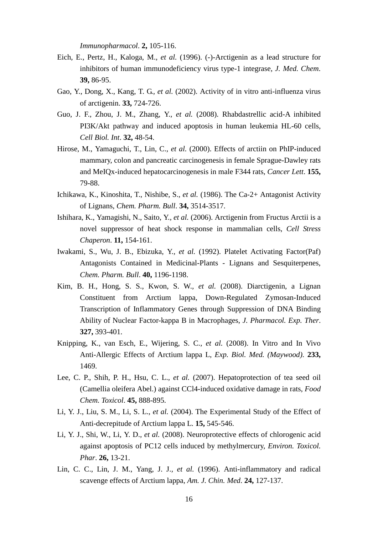*Immunopharmacol*. **2,** 105-116.

- Eich, E., Pertz, H., Kaloga, M.*, et al.* (1996). (-)-Arctigenin as a lead structure for inhibitors of human immunodeficiency virus type-1 integrase, *J. Med. Chem*. **39,** 86-95.
- Gao, Y., Dong, X., Kang, T. G.*, et al.* (2002). Activity of in vitro anti-influenza virus of arctigenin. **33,** 724-726.
- Guo, J. F., Zhou, J. M., Zhang, Y.*, et al.* (2008). Rhabdastrellic acid-A inhibited PI3K/Akt pathway and induced apoptosis in human leukemia HL-60 cells, *Cell Biol. Int*. **32,** 48-54.
- Hirose, M., Yamaguchi, T., Lin, C.*, et al.* (2000). Effects of arctiin on PhIP-induced mammary, colon and pancreatic carcinogenesis in female Sprague-Dawley rats and MeIQx-induced hepatocarcinogenesis in male F344 rats, *Cancer Lett*. **155,** 79-88.
- Ichikawa, K., Kinoshita, T., Nishibe, S.*, et al.* (1986). The Ca-2+ Antagonist Activity of Lignans, *Chem. Pharm. Bull*. **34,** 3514-3517.
- Ishihara, K., Yamagishi, N., Saito, Y.*, et al.* (2006). Arctigenin from Fructus Arctii is a novel suppressor of heat shock response in mammalian cells, *Cell Stress Chaperon*. **11,** 154-161.
- Iwakami, S., Wu, J. B., Ebizuka, Y.*, et al.* (1992). Platelet Activating Factor(Paf) Antagonists Contained in Medicinal-Plants - Lignans and Sesquiterpenes, *Chem. Pharm. Bull*. **40,** 1196-1198.
- Kim, B. H., Hong, S. S., Kwon, S. W.*, et al.* (2008). Diarctigenin, a Lignan Constituent from Arctium lappa, Down-Regulated Zymosan-Induced Transcription of Inflammatory Genes through Suppression of DNA Binding Ability of Nuclear Factor-kappa B in Macrophages, *J. Pharmacol. Exp. Ther*. **327,** 393-401.
- Knipping, K., van Esch, E., Wijering, S. C.*, et al.* (2008). In Vitro and In Vivo Anti-Allergic Effects of Arctium lappa L, *Exp. Biol. Med. (Maywood)*. **233,** 1469.
- Lee, C. P., Shih, P. H., Hsu, C. L.*, et al.* (2007). Hepatoprotection of tea seed oil (Camellia oleifera Abel.) against CCl4-induced oxidative damage in rats, *Food Chem. Toxicol*. **45,** 888-895.
- Li, Y. J., Liu, S. M., Li, S. L.*, et al.* (2004). The Experimental Study of the Effect of Anti-decrepitude of Arctium lappa L. **15,** 545-546.
- Li, Y. J., Shi, W., Li, Y. D.*, et al.* (2008). Neuroprotective effects of chlorogenic acid against apoptosis of PC12 cells induced by methylmercury, *Environ. Toxicol. Phar*. **26,** 13-21.
- Lin, C. C., Lin, J. M., Yang, J. J.*, et al.* (1996). Anti-inflammatory and radical scavenge effects of Arctium lappa, *Am. J. Chin. Med*. **24,** 127-137.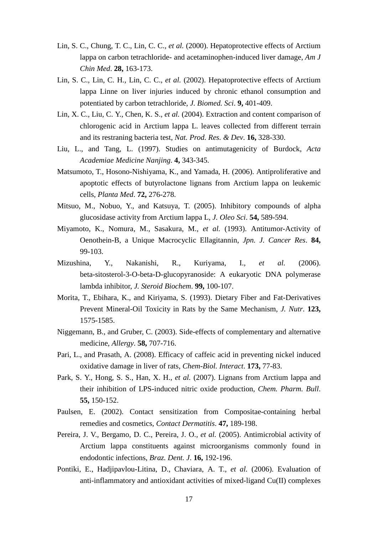- Lin, S. C., Chung, T. C., Lin, C. C.*, et al.* (2000). Hepatoprotective effects of Arctium lappa on carbon tetrachloride- and acetaminophen-induced liver damage, *Am J Chin Med*. **28,** 163-173.
- Lin, S. C., Lin, C. H., Lin, C. C.*, et al.* (2002). Hepatoprotective effects of Arctium lappa Linne on liver injuries induced by chronic ethanol consumption and potentiated by carbon tetrachloride, *J. Biomed. Sci*. **9,** 401-409.
- Lin, X. C., Liu, C. Y., Chen, K. S.*, et al.* (2004). Extraction and content comparison of chlorogenic acid in Arctium lappa L. leaves collected from different terrain and its restraning bacteria test, *Nat. Prod. Res. & Dev*. **16,** 328-330.
- Liu, L., and Tang, L. (1997). Studies on antimutagenicity of Burdock, *Acta Academiae Medicine Nanjing*. **4,** 343-345.
- Matsumoto, T., Hosono-Nishiyama, K., and Yamada, H. (2006). Antiproliferative and apoptotic effects of butyrolactone lignans from Arctium lappa on leukemic cells, *Planta Med*. **72,** 276-278.
- Mitsuo, M., Nobuo, Y., and Katsuya, T. (2005). Inhibitory compounds of alpha glucosidase activity from Arctium lappa L, *J. Oleo Sci*. **54,** 589-594.
- Miyamoto, K., Nomura, M., Sasakura, M.*, et al.* (1993). Antitumor-Activity of Oenothein-B, a Unique Macrocyclic Ellagitannin, *Jpn. J. Cancer Res*. **84,** 99-103.
- Mizushina, Y., Nakanishi, R., Kuriyama, I.*, et al.* (2006). beta-sitosterol-3-O-beta-D-glucopyranoside: A eukaryotic DNA polymerase lambda inhibitor, *J. Steroid Biochem*. **99,** 100-107.
- Morita, T., Ebihara, K., and Kiriyama, S. (1993). Dietary Fiber and Fat-Derivatives Prevent Mineral-Oil Toxicity in Rats by the Same Mechanism, *J. Nutr*. **123,** 1575-1585.
- Niggemann, B., and Gruber, C. (2003). Side-effects of complementary and alternative medicine, *Allergy*. **58,** 707-716.
- Pari, L., and Prasath, A. (2008). Efficacy of caffeic acid in preventing nickel induced oxidative damage in liver of rats, *Chem-Biol. Interact*. **173,** 77-83.
- Park, S. Y., Hong, S. S., Han, X. H.*, et al.* (2007). Lignans from Arctium lappa and their inhibition of LPS-induced nitric oxide production, *Chem. Pharm. Bull*. **55,** 150-152.
- Paulsen, E. (2002). Contact sensitization from Compositae-containing herbal remedies and cosmetics, *Contact Dermatitis*. **47,** 189-198.
- Pereira, J. V., Bergamo, D. C., Pereira, J. O.*, et al.* (2005). Antimicrobial activity of Arctium lappa constituents against microorganisms commonly found in endodontic infections, *Braz. Dent. J*. **16,** 192-196.
- Pontiki, E., Hadjipavlou-Litina, D., Chaviara, A. T.*, et al.* (2006). Evaluation of anti-inflammatory and antioxidant activities of mixed-ligand Cu(II) complexes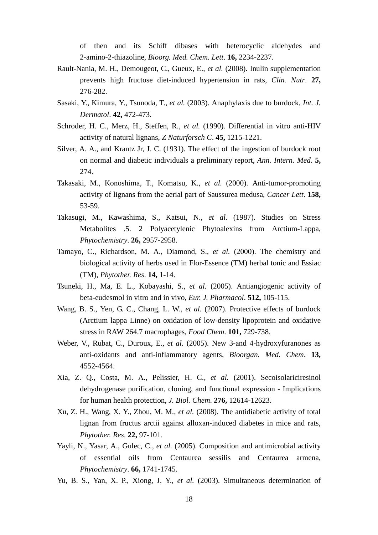of then and its Schiff dibases with heterocyclic aldehydes and 2-amino-2-thiazoline, *Bioorg. Med. Chem. Lett*. **16,** 2234-2237.

- Rault-Nania, M. H., Demougeot, C., Gueux, E.*, et al.* (2008). Inulin supplementation prevents high fructose diet-induced hypertension in rats, *Clin. Nutr*. **27,** 276-282.
- Sasaki, Y., Kimura, Y., Tsunoda, T.*, et al.* (2003). Anaphylaxis due to burdock, *Int. J. Dermatol*. **42,** 472-473.
- Schroder, H. C., Merz, H., Steffen, R.*, et al.* (1990). Differential in vitro anti-HIV activity of natural lignans, *Z Naturforsch C*. **45,** 1215-1221.
- Silver, A. A., and Krantz Jr, J. C. (1931). The effect of the ingestion of burdock root on normal and diabetic individuals a preliminary report, *Ann. Intern. Med*. **5,** 274.
- Takasaki, M., Konoshima, T., Komatsu, K.*, et al.* (2000). Anti-tumor-promoting activity of lignans from the aerial part of Saussurea medusa, *Cancer Lett*. **158,** 53-59.
- Takasugi, M., Kawashima, S., Katsui, N.*, et al.* (1987). Studies on Stress Metabolites .5. 2 Polyacetylenic Phytoalexins from Arctium-Lappa, *Phytochemistry*. **26,** 2957-2958.
- Tamayo, C., Richardson, M. A., Diamond, S.*, et al.* (2000). The chemistry and biological activity of herbs used in Flor-Essence (TM) herbal tonic and Essiac (TM), *Phytother. Res*. **14,** 1-14.
- Tsuneki, H., Ma, E. L., Kobayashi, S.*, et al.* (2005). Antiangiogenic activity of beta-eudesmol in vitro and in vivo, *Eur. J. Pharmacol*. **512,** 105-115.
- Wang, B. S., Yen, G. C., Chang, L. W.*, et al.* (2007). Protective effects of burdock (Arctium lappa Linne) on oxidation of low-density lipoprotein and oxidative stress in RAW 264.7 macrophages, *Food Chem*. **101,** 729-738.
- Weber, V., Rubat, C., Duroux, E.*, et al.* (2005). New 3-and 4-hydroxyfuranones as anti-oxidants and anti-inflammatory agents, *Bioorgan. Med. Chem*. **13,** 4552-4564.
- Xia, Z. Q., Costa, M. A., Pelissier, H. C.*, et al.* (2001). Secoisolariciresinol dehydrogenase purification, cloning, and functional expression - Implications for human health protection, *J. Biol. Chem*. **276,** 12614-12623.
- Xu, Z. H., Wang, X. Y., Zhou, M. M.*, et al.* (2008). The antidiabetic activity of total lignan from fructus arctii against alloxan-induced diabetes in mice and rats, *Phytother. Res*. **22,** 97-101.
- Yayli, N., Yasar, A., Gulec, C.*, et al.* (2005). Composition and antimicrobial activity of essential oils from Centaurea sessilis and Centaurea armena, *Phytochemistry*. **66,** 1741-1745.
- Yu, B. S., Yan, X. P., Xiong, J. Y.*, et al.* (2003). Simultaneous determination of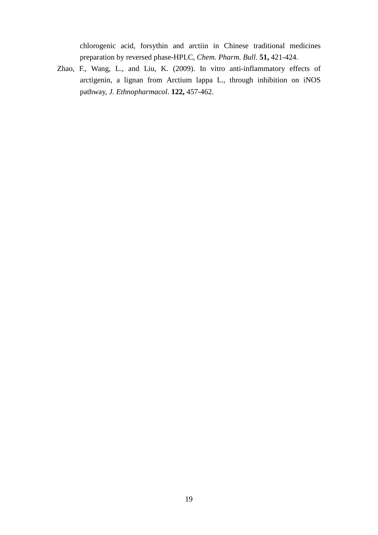chlorogenic acid, forsythin and arctiin in Chinese traditional medicines preparation by reversed phase-HPLC, *Chem. Pharm. Bull*. **51,** 421-424.

Zhao, F., Wang, L., and Liu, K. (2009). In vitro anti-inflammatory effects of arctigenin, a lignan from Arctium lappa L., through inhibition on iNOS pathway, *J. Ethnopharmacol*. **122,** 457-462.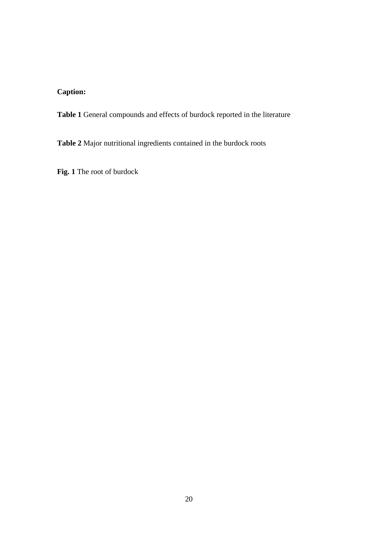# **Caption:**

**Table 1** General compounds and effects of burdock reported in the literature

**Table 2** Major nutritional ingredients contained in the burdock roots

**Fig. 1** The root of burdock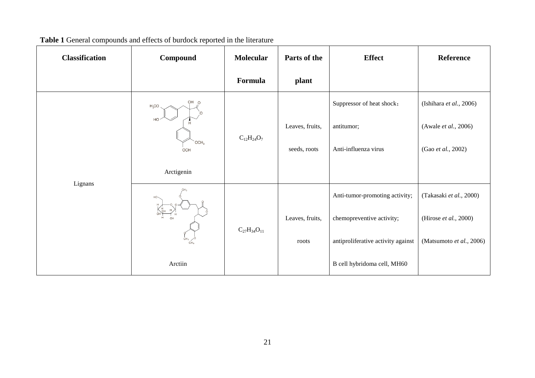| <b>Classification</b> | Compound                                         | <b>Molecular</b>     | Parts of the<br><b>Effect</b> |                                    | Reference                |
|-----------------------|--------------------------------------------------|----------------------|-------------------------------|------------------------------------|--------------------------|
|                       |                                                  | Formula              | plant                         |                                    |                          |
| Lignans               | $OH$ O<br>$H_3CO$<br>HO<br>$\text{OCH}_3$<br>OCH |                      |                               | Suppressor of heat shock;          | (Ishihara et al., 2006)  |
|                       |                                                  | $C_{12}H_{24}O_7$    | Leaves, fruits,               | antitumor;                         | (Awale et al., 2006)     |
|                       |                                                  |                      | seeds, roots                  | Anti-influenza virus               | (Gao et al., 2002)       |
|                       | Arctigenin                                       |                      |                               |                                    |                          |
|                       | CH <sub>3</sub><br>CH <sub>3</sub>               |                      |                               | Anti-tumor-promoting activity;     | (Takasaki et al., 2000)  |
|                       |                                                  | $C_{27}H_{34}O_{11}$ | Leaves, fruits,               | chemopreventive activity;          | (Hirose et al., 2000)    |
|                       |                                                  |                      | roots                         | antiproliferative activity against | (Matsumoto et al., 2006) |
|                       | Arctiin                                          |                      |                               | B cell hybridoma cell, MH60        |                          |

**Table 1** General compounds and effects of burdock reported in the literature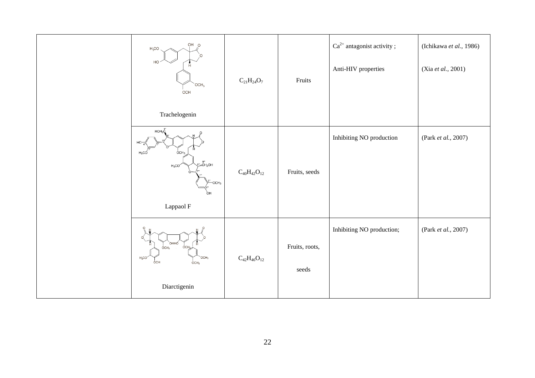| $OH$ $OH$<br>$\mathsf{H}_3\mathsf{CO}$<br>HO<br>OCH <sub>3</sub><br>OCH<br>Trachelogenin                                                   | $\rm{C_{21}H_{24}O_7}$    | Fruits                  | $Ca^{2+}$ antagonist activity;<br>Anti-HIV properties | (Ichikawa et al., 1986)<br>(Xia et al., 2001) |
|--------------------------------------------------------------------------------------------------------------------------------------------|---------------------------|-------------------------|-------------------------------------------------------|-----------------------------------------------|
| $HOH2$ $\zeta$<br>$\overline{O}CH_3$<br>$H_3CC$<br>s"<br>‰CH <sub>2</sub> OH<br>$H_3CO'$<br>-OCH <sub>3</sub><br>'nп<br>Lappaol F          | $C_{40}H_{42}O_{12}$      | Fruits, seeds           | Inhibiting NO production                              | (Park et al., 2007)                           |
| `онно́<br>OCH <sub>3</sub><br>OCH <sub>3</sub><br>$H_3CO$<br>$^{\circ}$ OCH <sub>3</sub><br><b>OCH</b><br>OCH <sub>3</sub><br>Diarctigenin | $\rm{C_{42}H_{46}O_{12}}$ | Fruits, roots,<br>seeds | Inhibiting NO production;                             | (Park et al., 2007)                           |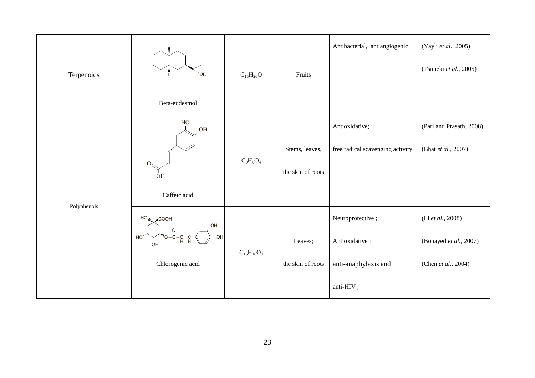| Terpenoids  | $\frac{1}{H}$<br>`OH<br>Beta-eudesmol                                       | $C_{15}H_{26}O$       | Fruits                              | Antibacterial, .antiangiogenic                                           | (Yayli et al., 2005)<br>(Tsuneki et al., 2005)                     |
|-------------|-----------------------------------------------------------------------------|-----------------------|-------------------------------------|--------------------------------------------------------------------------|--------------------------------------------------------------------|
| Polyphenols | ${\rm HO}$<br>OH<br>О<br>OH<br>Caffeic acid                                 | $\rm{C_9H_8O_4}$      | Stems, leaves,<br>the skin of roots | Antioxidative;<br>free radical scavenging activity                       | (Pari and Prasath, 2008)<br>(Bhat et al., 2007)                    |
|             | $HO_{\text{M}_{1}}$ COOH<br>OН<br>HO <sup>®</sup><br>ÓН<br>Chlorogenic acid | $\rm C_{16}H_{18}O_9$ | Leaves;<br>the skin of roots        | Neuroprotective;<br>Antioxidative;<br>anti-anaphylaxis and<br>anti-HIV ; | (Li et al., 2008)<br>(Bouayed et al., 2007)<br>(Chen et al., 2004) |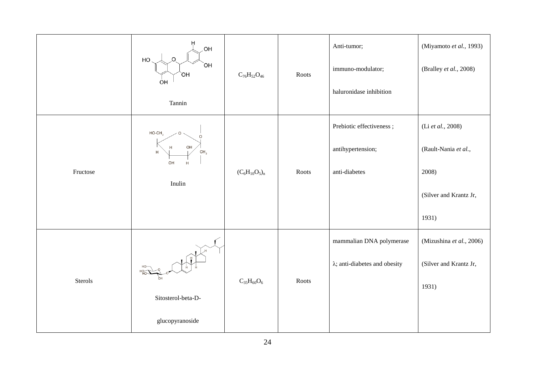|          | OH<br>$\Omega$<br>HO       |                      |       | Anti-tumor;                           | (Miyamoto et al., 1993)  |
|----------|----------------------------|----------------------|-------|---------------------------------------|--------------------------|
|          | `ОН<br>`OH<br>OH           | $C_{76}H_{52}O_{46}$ | Roots | immuno-modulator;                     | (Bralley et al., 2008)   |
|          | Tannin                     |                      |       | haluronidase inhibition               |                          |
|          | $HO-CH2$                   |                      |       | Prebiotic effectiveness;              | (Li et al., 2008)        |
|          | OH<br>$\mathsf{CH}_2$<br>H |                      |       | antihypertension;                     | (Rault-Nania et al.,     |
| Fructose | OH<br>H.<br>Inulin         | $(C_6H_{10}O_5)_n$   | Roots | anti-diabetes                         | 2008)                    |
|          |                            |                      |       |                                       | (Silver and Krantz Jr,   |
|          |                            |                      |       |                                       | 1931)                    |
|          |                            |                      |       | mammalian DNA polymerase              | (Mizushina et al., 2006) |
| Sterols  |                            | $C_{35}H_{60}O_6$    | Roots | $\lambda$ ; anti-diabetes and obesity | (Silver and Krantz Jr,   |
|          | Sitosterol-beta-D-         |                      |       |                                       | 1931)                    |
|          |                            |                      |       |                                       |                          |
|          | glucopyranoside            |                      |       |                                       |                          |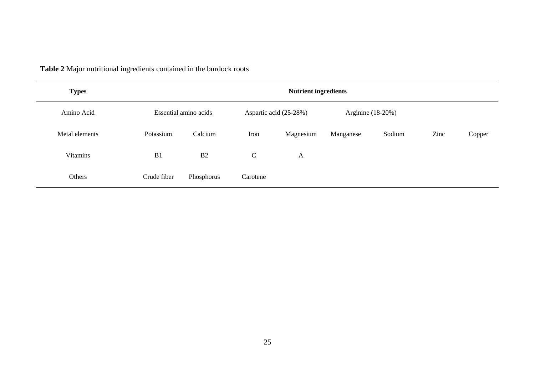| <b>Types</b>   | <b>Nutrient ingredients</b> |                       |                        |              |                   |        |      |        |
|----------------|-----------------------------|-----------------------|------------------------|--------------|-------------------|--------|------|--------|
| Amino Acid     |                             | Essential amino acids | Aspartic acid (25-28%) |              | Arginine (18-20%) |        |      |        |
| Metal elements | Potassium                   | Calcium               | Iron                   | Magnesium    | Manganese         | Sodium | Zinc | Copper |
| Vitamins       | B1                          | B2                    | $\mathcal{C}$          | $\mathbf{A}$ |                   |        |      |        |
| Others         | Crude fiber                 | Phosphorus            | Carotene               |              |                   |        |      |        |

**Table 2** Major nutritional ingredients contained in the burdock roots